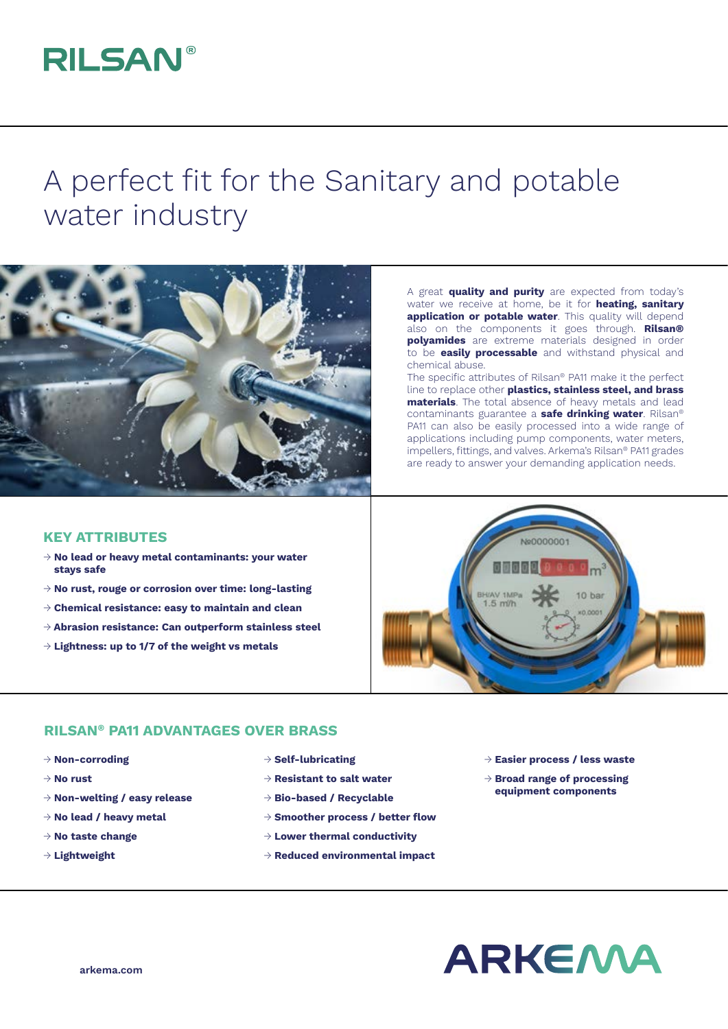## **RILSAN®**

## A perfect fit for the Sanitary and potable water industry



A great **quality and purity** are expected from today's water we receive at home, be it for **heating, sanitary application or potable water**. This quality will depend also on the components it goes through. **Rilsan® polyamides** are extreme materials designed in order to be **easily processable** and withstand physical and chemical abuse.

The specific attributes of Rilsan® PA11 make it the perfect line to replace other **plastics, stainless steel, and brass materials**. The total absence of heavy metals and lead contaminants guarantee a **safe drinking water**. Rilsan® PA11 can also be easily processed into a wide range of applications including pump components, water meters, impellers, fittings, and valves. Arkema's Rilsan® PA11 grades are ready to answer your demanding application needs.

## **KEY ATTRIBUTES**

- → **No lead or heavy metal contaminants: your water stays safe**
- → **No rust, rouge or corrosion over time: long-lasting**
- → **Chemical resistance: easy to maintain and clean**
- → **Abrasion resistance: Can outperform stainless steel**
- → **Lightness: up to 1/7 of the weight vs metals**



## **RILSAN® PA11 ADVANTAGES OVER BRASS**

- → **Non-corroding**
- → **No rust**
- → **Non-welting / easy release**
- → **No lead / heavy metal**
- → **No taste change**
- → **Lightweight**
- → **Self-lubricating**
- → **Resistant to salt water**
- → **Bio-based / Recyclable**
- → **Smoother process / better flow**
- → **Lower thermal conductivity**
- → **Reduced environmental impact**
- → **Easier process / less waste**
- → **Broad range of processing equipment components**